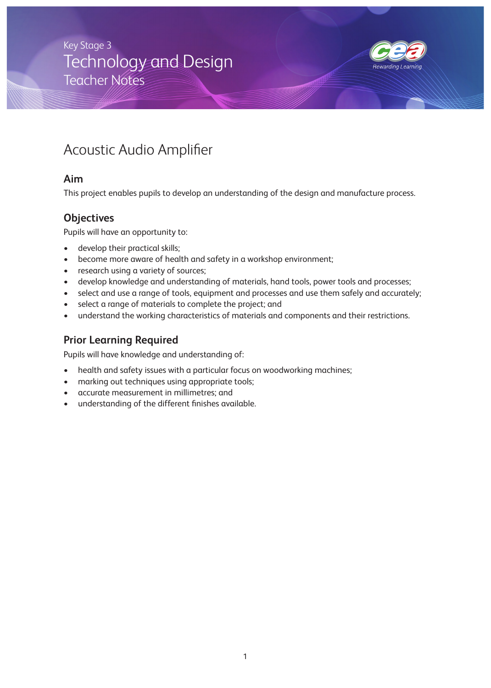# Technology and Design Teacher Notes Key Stage 3



# Acoustic Audio Amplifier

### **Aim**

This project enables pupils to develop an understanding of the design and manufacture process.

### **Objectives**

Pupils will have an opportunity to:

- develop their practical skills;
- become more aware of health and safety in a workshop environment;
- research using a variety of sources;
- develop knowledge and understanding of materials, hand tools, power tools and processes;
- select and use a range of tools, equipment and processes and use them safely and accurately;
- select a range of materials to complete the project; and
- understand the working characteristics of materials and components and their restrictions.

## **Prior Learning Required**

Pupils will have knowledge and understanding of:

- health and safety issues with a particular focus on woodworking machines;
- marking out techniques using appropriate tools;
- accurate measurement in millimetres; and
- understanding of the different finishes available.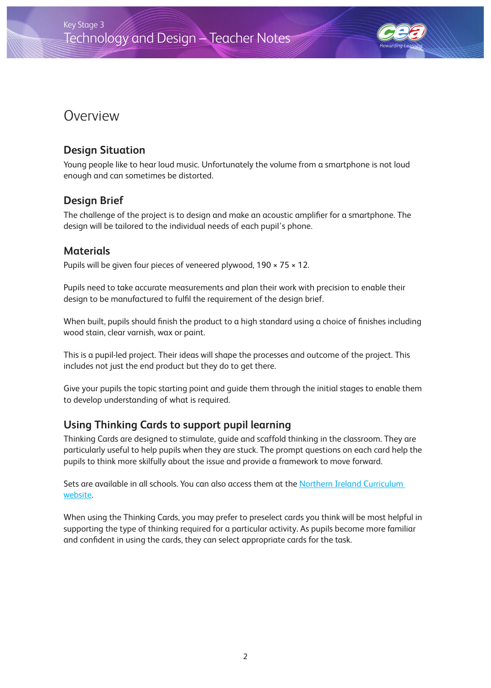

# Overview

## **Design Situation**

Young people like to hear loud music. Unfortunately the volume from a smartphone is not loud enough and can sometimes be distorted.

## **Design Brief**

The challenge of the project is to design and make an acoustic amplifier for a smartphone. The design will be tailored to the individual needs of each pupil's phone.

## **Materials**

Pupils will be given four pieces of veneered plywood,  $190 \times 75 \times 12$ .

Pupils need to take accurate measurements and plan their work with precision to enable their design to be manufactured to fulfil the requirement of the design brief.

When built, pupils should finish the product to a high standard using a choice of finishes including wood stain, clear varnish, wax or paint.

This is a pupil-led project. Their ideas will shape the processes and outcome of the project. This includes not just the end product but they do to get there.

Give your pupils the topic starting point and guide them through the initial stages to enable them to develop understanding of what is required.

## **Using Thinking Cards to support pupil learning**

Thinking Cards are designed to stimulate, guide and scaffold thinking in the classroom. They are particularly useful to help pupils when they are stuck. The prompt questions on each card help the pupils to think more skilfully about the issue and provide a framework to move forward.

Sets are available in all schools. You can also access them at the [Northern Ireland Curriculum](http://www.nicurriculum.org.uk/curriculum_microsite/TSPC/the_think_pack/download_cards/index.asp)  [website](http://www.nicurriculum.org.uk/curriculum_microsite/TSPC/the_think_pack/download_cards/index.asp).

When using the Thinking Cards, you may prefer to preselect cards you think will be most helpful in supporting the type of thinking required for a particular activity. As pupils become more familiar and confident in using the cards, they can select appropriate cards for the task.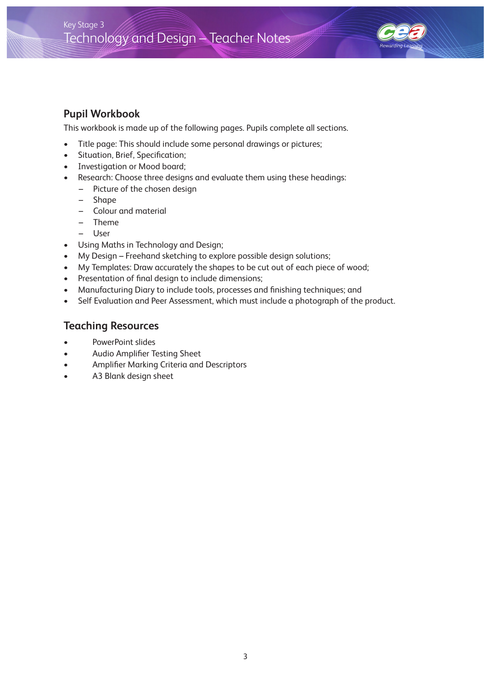

### **Pupil Workbook**

This workbook is made up of the following pages. Pupils complete all sections.

- Title page: This should include some personal drawings or pictures;
- Situation, Brief, Specification;
- Investigation or Mood board;
- Research: Choose three designs and evaluate them using these headings:
	- Picture of the chosen design
	- Shape
	- Colour and material
	- Theme
	- User
- Using Maths in Technology and Design;
- My Design Freehand sketching to explore possible design solutions;
- My Templates: Draw accurately the shapes to be cut out of each piece of wood;
- Presentation of final design to include dimensions;
- Manufacturing Diary to include tools, processes and finishing techniques; and
- Self Evaluation and Peer Assessment, which must include a photograph of the product.

### **Teaching Resources**

- PowerPoint slides
- Audio Amplifier Testing Sheet
- Amplifier Marking Criteria and Descriptors
- A3 Blank design sheet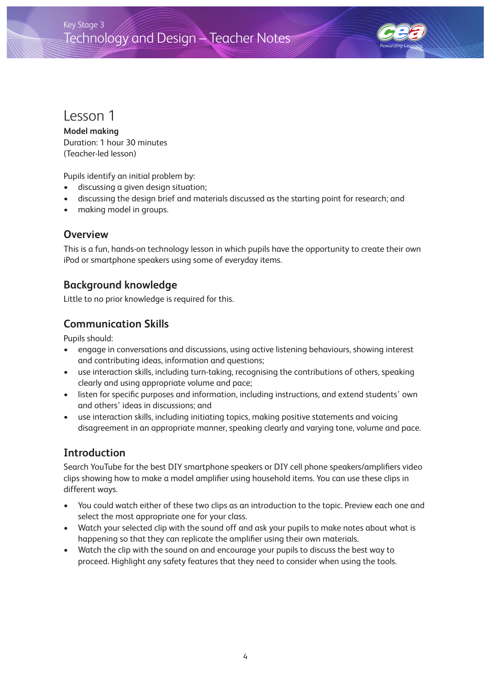

# Lesson 1

**Model making**  Duration: 1 hour 30 minutes (Teacher-led lesson)

Pupils identify an initial problem by:

- discussing a given design situation;
- discussing the design brief and materials discussed as the starting point for research; and
- making model in groups.

#### **Overview**

This is a fun, hands-on technology lesson in which pupils have the opportunity to create their own iPod or smartphone speakers using some of everyday items.

### **Background knowledge**

Little to no prior knowledge is required for this.

### **Communication Skills**

Pupils should:

- engage in conversations and discussions, using active listening behaviours, showing interest and contributing ideas, information and questions;
- use interaction skills, including turn-taking, recognising the contributions of others, speaking clearly and using appropriate volume and pace;
- listen for specific purposes and information, including instructions, and extend students' own and others' ideas in discussions; and
- use interaction skills, including initiating topics, making positive statements and voicing disagreement in an appropriate manner, speaking clearly and varying tone, volume and pace.

### **Introduction**

Search YouTube for the best DIY smartphone speakers or DIY cell phone speakers/amplifiers video clips showing how to make a model amplifier using household items. You can use these clips in different ways.

- You could watch either of these two clips as an introduction to the topic. Preview each one and select the most appropriate one for your class.
- Watch your selected clip with the sound off and ask your pupils to make notes about what is happening so that they can replicate the amplifier using their own materials.
- Watch the clip with the sound on and encourage your pupils to discuss the best way to proceed. Highlight any safety features that they need to consider when using the tools.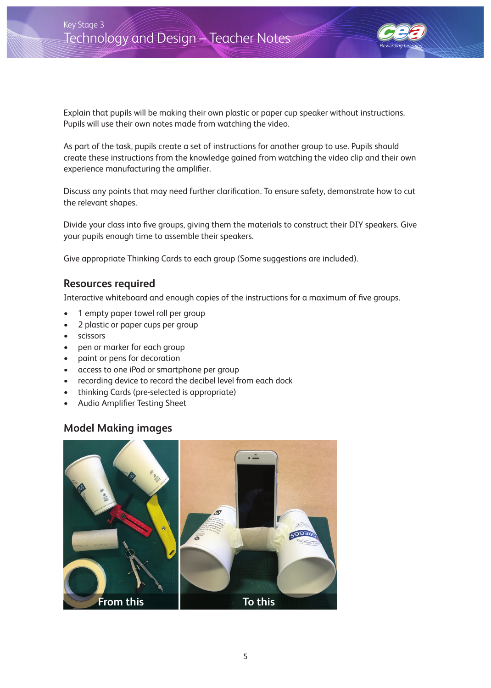

Explain that pupils will be making their own plastic or paper cup speaker without instructions. Pupils will use their own notes made from watching the video.

As part of the task, pupils create a set of instructions for another group to use. Pupils should create these instructions from the knowledge gained from watching the video clip and their own experience manufacturing the amplifier.

Discuss any points that may need further clarification. To ensure safety, demonstrate how to cut the relevant shapes.

Divide your class into five groups, giving them the materials to construct their DIY speakers. Give your pupils enough time to assemble their speakers.

Give appropriate Thinking Cards to each group (Some suggestions are included).

#### **Resources required**

Interactive whiteboard and enough copies of the instructions for a maximum of five groups.

- 1 empty paper towel roll per group
- 2 plastic or paper cups per group
- scissors
- pen or marker for each group
- paint or pens for decoration
- access to one iPod or smartphone per group
- recording device to record the decibel level from each dock
- thinking Cards (pre-selected is appropriate)
- Audio Amplifier Testing Sheet

### **Model Making images**

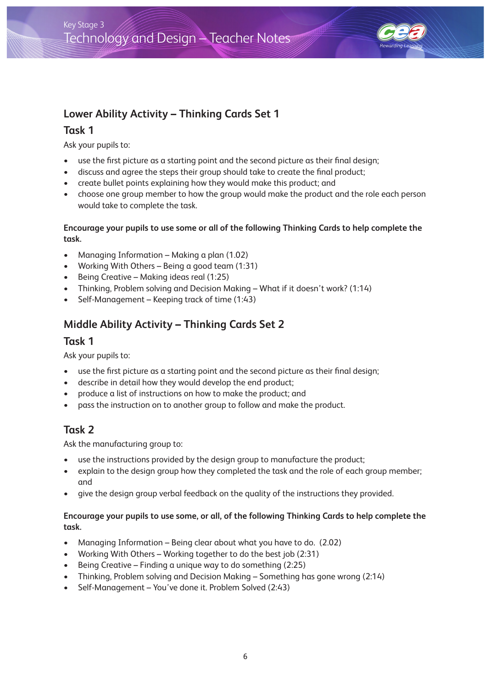

## **Lower Ability Activity – Thinking Cards Set 1**

### **Task 1**

Ask your pupils to:

- use the first picture as a starting point and the second picture as their final design;
- discuss and agree the steps their group should take to create the final product;
- create bullet points explaining how they would make this product; and
- choose one group member to how the group would make the product and the role each person would take to complete the task.

#### **Encourage your pupils to use some or all of the following Thinking Cards to help complete the task.**

- Managing Information Making a plan (1.02)
- Working With Others Being a good team (1:31)
- Being Creative Making ideas real (1:25)
- Thinking, Problem solving and Decision Making What if it doesn't work? (1:14)
- Self-Management Keeping track of time (1:43)

## **Middle Ability Activity – Thinking Cards Set 2**

#### **Task 1**

Ask your pupils to:

- use the first picture as a starting point and the second picture as their final design;
- describe in detail how they would develop the end product;
- produce a list of instructions on how to make the product; and
- pass the instruction on to another group to follow and make the product.

## **Task 2**

Ask the manufacturing group to:

- use the instructions provided by the design group to manufacture the product;
- explain to the design group how they completed the task and the role of each group member; and
- give the design group verbal feedback on the quality of the instructions they provided.

#### **Encourage your pupils to use some, or all, of the following Thinking Cards to help complete the task.**

- Managing Information Being clear about what you have to do. (2.02)
- Working With Others Working together to do the best job (2:31)
- Being Creative Finding a unique way to do something (2:25)
- Thinking, Problem solving and Decision Making Something has gone wrong (2:14)
- Self-Management You've done it. Problem Solved (2:43)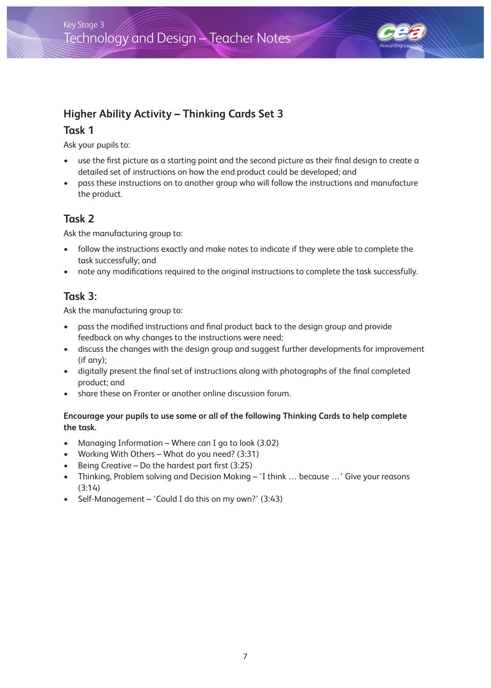

## **Higher Ability Activity – Thinking Cards Set 3**

### **Task 1**

Ask your pupils to:

- use the first picture as a starting point and the second picture as their final design to create a detailed set of instructions on how the end product could be developed; and
- pass these instructions on to another group who will follow the instructions and manufacture the product.

### **Task 2**

Ask the manufacturing group to:

- follow the instructions exactly and make notes to indicate if they were able to complete the task successfully; and
- note any modifications required to the original instructions to complete the task successfully.

### **Task 3:**

Ask the manufacturing group to:

- pass the modified instructions and final product back to the design group and provide feedback on why changes to the instructions were need;
- discuss the changes with the design group and suggest further developments for improvement (if any);
- digitally present the final set of instructions along with photographs of the final completed product; and
- share these on Fronter or another online discussion forum.

#### **Encourage your pupils to use some or all of the following Thinking Cards to help complete the task.**

- Managing Information Where can I go to look (3.02)
- Working With Others What do you need? (3:31)
- Being Creative Do the hardest part first (3:25)
- Thinking, Problem solving and Decision Making 'I think … because …' Give your reasons (3:14)
- Self-Management 'Could I do this on my own?' (3:43)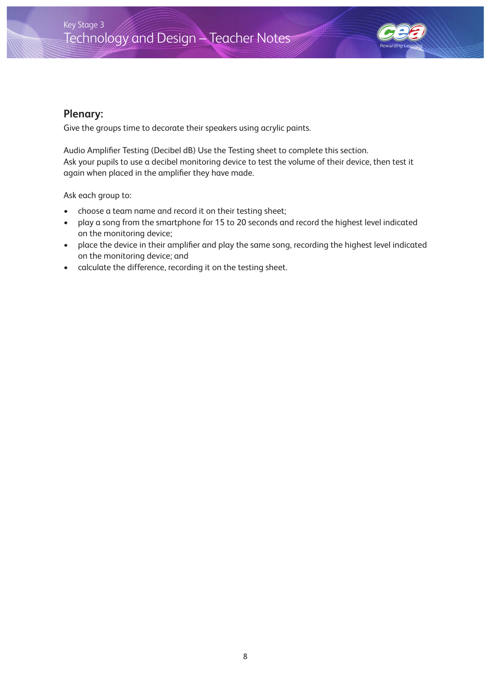

### **Plenary:**

Give the groups time to decorate their speakers using acrylic paints.

Audio Amplifier Testing (Decibel dB) Use the Testing sheet to complete this section. Ask your pupils to use a decibel monitoring device to test the volume of their device, then test it again when placed in the amplifier they have made.

Ask each group to:

- choose a team name and record it on their testing sheet;
- play a song from the smartphone for 15 to 20 seconds and record the highest level indicated on the monitoring device;
- place the device in their amplifier and play the same song, recording the highest level indicated on the monitoring device; and
- calculate the difference, recording it on the testing sheet.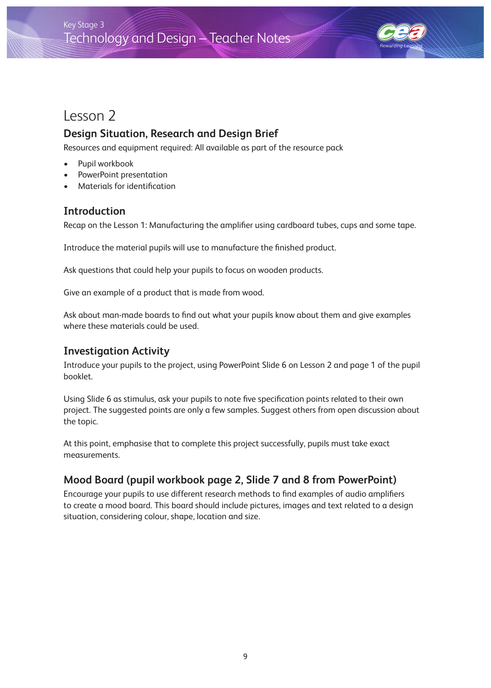

# Lesson 2

## **Design Situation, Research and Design Brief**

Resources and equipment required: All available as part of the resource pack

- Pupil workbook
- PowerPoint presentation
- Materials for identification

### **Introduction**

Recap on the Lesson 1: Manufacturing the amplifier using cardboard tubes, cups and some tape.

Introduce the material pupils will use to manufacture the finished product.

Ask questions that could help your pupils to focus on wooden products.

Give an example of a product that is made from wood.

Ask about man-made boards to find out what your pupils know about them and give examples where these materials could be used.

### **Investigation Activity**

Introduce your pupils to the project, using PowerPoint Slide 6 on Lesson 2 and page 1 of the pupil booklet.

Using Slide 6 as stimulus, ask your pupils to note five specification points related to their own project. The suggested points are only a few samples. Suggest others from open discussion about the topic.

At this point, emphasise that to complete this project successfully, pupils must take exact measurements.

### **Mood Board (pupil workbook page 2, Slide 7 and 8 from PowerPoint)**

Encourage your pupils to use different research methods to find examples of audio amplifiers to create a mood board. This board should include pictures, images and text related to a design situation, considering colour, shape, location and size.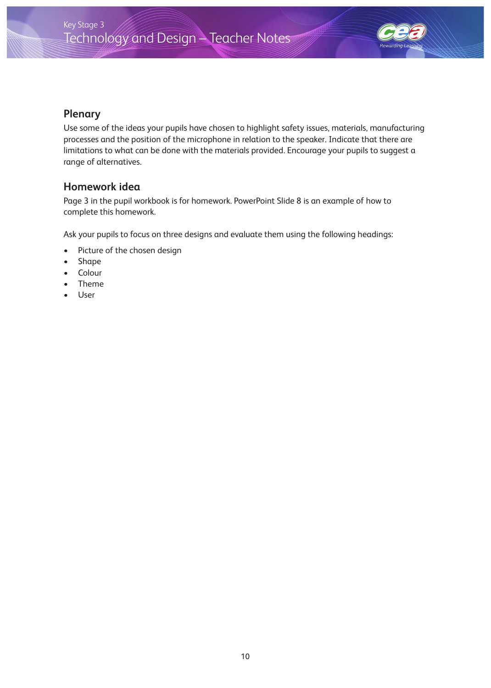

### **Plenary**

Use some of the ideas your pupils have chosen to highlight safety issues, materials, manufacturing processes and the position of the microphone in relation to the speaker. Indicate that there are limitations to what can be done with the materials provided. Encourage your pupils to suggest a range of alternatives.

### **Homework idea**

Page 3 in the pupil workbook is for homework. PowerPoint Slide 8 is an example of how to complete this homework.

Ask your pupils to focus on three designs and evaluate them using the following headings:

- Picture of the chosen design
- Shape
- **Colour**
- Theme
- User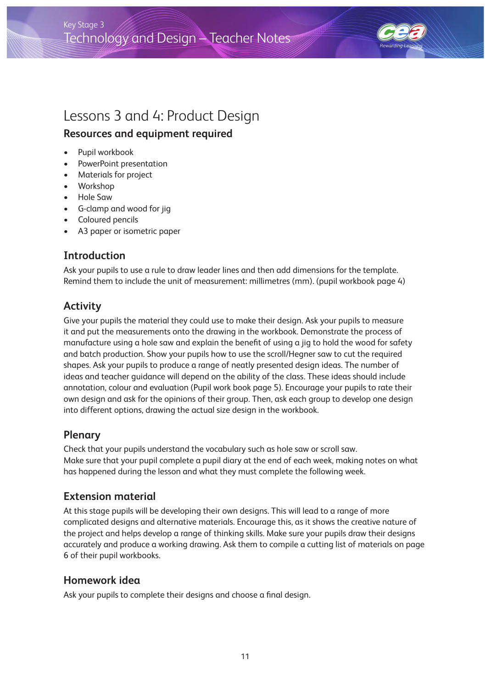

# Lessons 3 and 4: Product Design

## **Resources and equipment required**

- Pupil workbook
- PowerPoint presentation
- Materials for project
- Workshop
- Hole Saw
- G-clamp and wood for jig
- Coloured pencils
- A3 paper or isometric paper

### **Introduction**

Ask your pupils to use a rule to draw leader lines and then add dimensions for the template. Remind them to include the unit of measurement: millimetres (mm). (pupil workbook page 4)

## **Activity**

Give your pupils the material they could use to make their design. Ask your pupils to measure it and put the measurements onto the drawing in the workbook. Demonstrate the process of manufacture using a hole saw and explain the benefit of using a jig to hold the wood for safety and batch production. Show your pupils how to use the scroll/Hegner saw to cut the required shapes. Ask your pupils to produce a range of neatly presented design ideas. The number of ideas and teacher guidance will depend on the ability of the class. These ideas should include annotation, colour and evaluation (Pupil work book page 5). Encourage your pupils to rate their own design and ask for the opinions of their group. Then, ask each group to develop one design into different options, drawing the actual size design in the workbook.

### **Plenary**

Check that your pupils understand the vocabulary such as hole saw or scroll saw. Make sure that your pupil complete a pupil diary at the end of each week, making notes on what has happened during the lesson and what they must complete the following week.

### **Extension material**

At this stage pupils will be developing their own designs. This will lead to a range of more complicated designs and alternative materials. Encourage this, as it shows the creative nature of the project and helps develop a range of thinking skills. Make sure your pupils draw their designs accurately and produce a working drawing. Ask them to compile a cutting list of materials on page 6 of their pupil workbooks.

### **Homework idea**

Ask your pupils to complete their designs and choose a final design.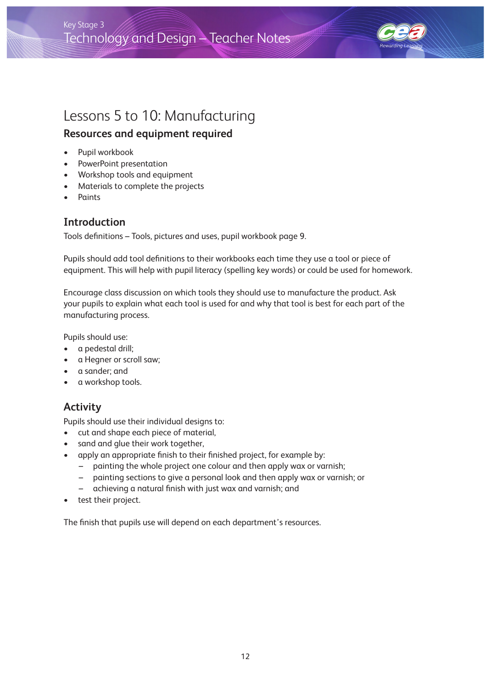

# Lessons 5 to 10: Manufacturing

### **Resources and equipment required**

- Pupil workbook
- PowerPoint presentation
- Workshop tools and equipment
- Materials to complete the projects
- **Paints**

### **Introduction**

Tools definitions – Tools, pictures and uses, pupil workbook page 9.

Pupils should add tool definitions to their workbooks each time they use a tool or piece of equipment. This will help with pupil literacy (spelling key words) or could be used for homework.

Encourage class discussion on which tools they should use to manufacture the product. Ask your pupils to explain what each tool is used for and why that tool is best for each part of the manufacturing process.

Pupils should use:

- a pedestal drill;
- a Hegner or scroll saw;
- a sander; and
- a workshop tools.

### **Activity**

Pupils should use their individual designs to:

- cut and shape each piece of material,
- sand and glue their work together,
- apply an appropriate finish to their finished project, for example by:
	- painting the whole project one colour and then apply wax or varnish;
	- painting sections to give a personal look and then apply wax or varnish; or
	- achieving a natural finish with just wax and varnish; and
- test their project.

The finish that pupils use will depend on each department's resources.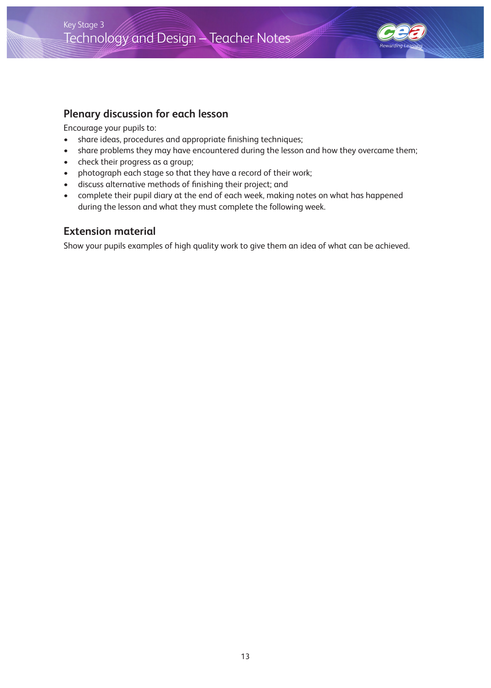

### **Plenary discussion for each lesson**

Encourage your pupils to:

- share ideas, procedures and appropriate finishing techniques;
- share problems they may have encountered during the lesson and how they overcame them;
- check their progress as a group;
- photograph each stage so that they have a record of their work;
- discuss alternative methods of finishing their project; and
- complete their pupil diary at the end of each week, making notes on what has happened during the lesson and what they must complete the following week.

#### **Extension material**

Show your pupils examples of high quality work to give them an idea of what can be achieved.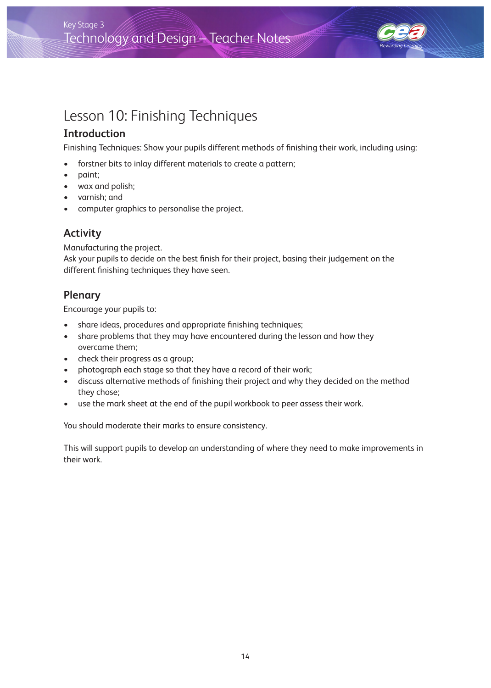## Technology and Design - Teacher Notes Key Stage 3



# Lesson 10: Finishing Techniques

## **Introduction**

Finishing Techniques: Show your pupils different methods of finishing their work, including using:

- forstner bits to inlay different materials to create a pattern;
- paint;
- wax and polish;
- varnish; and
- computer graphics to personalise the project.

## **Activity**

Manufacturing the project. Ask your pupils to decide on the best finish for their project, basing their judgement on the different finishing techniques they have seen.

## **Plenary**

Encourage your pupils to:

- share ideas, procedures and appropriate finishing techniques;
- share problems that they may have encountered during the lesson and how they overcame them;
- check their progress as a group;
- photograph each stage so that they have a record of their work;
- discuss alternative methods of finishing their project and why they decided on the method they chose;
- use the mark sheet at the end of the pupil workbook to peer assess their work.

You should moderate their marks to ensure consistency.

This will support pupils to develop an understanding of where they need to make improvements in their work.